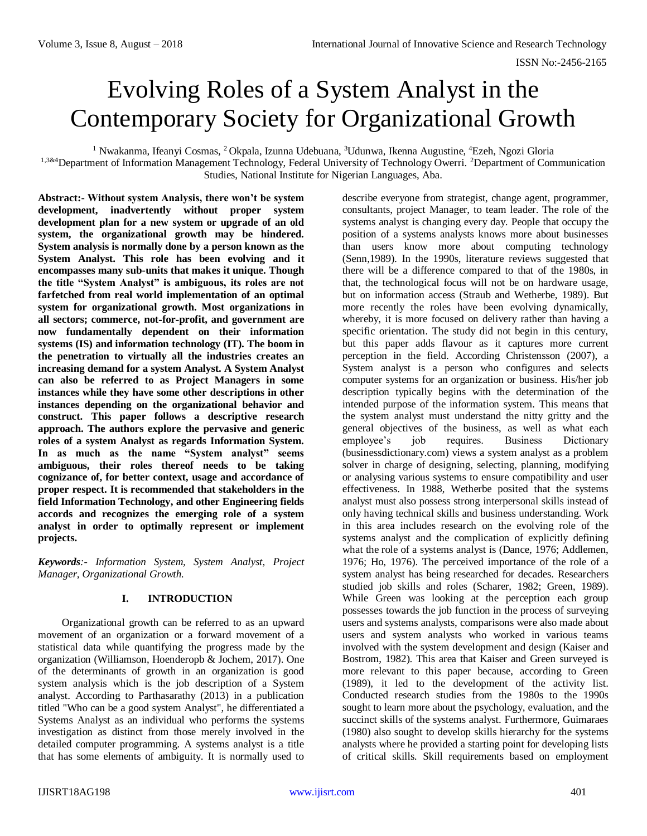# Evolving Roles of a System Analyst in the Contemporary Society for Organizational Growth

<sup>1</sup> Nwakanma, Ifeanyi Cosmas, <sup>2</sup> Okpala, Izunna Udebuana, <sup>3</sup>Udunwa, Ikenna Augustine, <sup>4</sup>Ezeh, Ngozi Gloria

<sup>1,3&4</sup>Department of Information Management Technology, Federal University of Technology Owerri. <sup>2</sup>Department of Communication Studies, National Institute for Nigerian Languages, Aba.

**Abstract:- Without system Analysis, there won't be system development, inadvertently without proper system development plan for a new system or upgrade of an old system, the organizational growth may be hindered. System analysis is normally done by a person known as the System Analyst. This role has been evolving and it encompasses many sub-units that makes it unique. Though the title "System Analyst" is ambiguous, its roles are not farfetched from real world implementation of an optimal system for organizational growth. Most organizations in all sectors; commerce, not**‐**for**‐**profit, and government are now fundamentally dependent on their information systems (IS) and information technology (IT). The boom in the penetration to virtually all the industries creates an increasing demand for a system Analyst. A System Analyst can also be referred to as Project Managers in some instances while they have some other descriptions in other instances depending on the organizational behavior and construct. This paper follows a descriptive research approach. The authors explore the pervasive and generic roles of a system Analyst as regards Information System. In as much as the name "System analyst" seems ambiguous, their roles thereof needs to be taking cognizance of, for better context, usage and accordance of proper respect. It is recommended that stakeholders in the field Information Technology, and other Engineering fields accords and recognizes the emerging role of a system analyst in order to optimally represent or implement projects.** 

*Keywords:- Information System, System Analyst, Project Manager, Organizational Growth.* 

### **I. INTRODUCTION**

Organizational growth can be referred to as an upward movement of an organization or a forward movement of a statistical data while quantifying the progress made by the organization (Williamson, Hoenderopb & Jochem, 2017). One of the determinants of growth in an organization is good system analysis which is the job description of a System analyst. According to Parthasarathy (2013) in a publication titled "Who can be a good system Analyst", he differentiated a Systems Analyst as an individual who performs the systems investigation as distinct from those merely involved in the detailed computer programming. A systems analyst is a title that has some elements of ambiguity. It is normally used to

describe everyone from strategist, change agent, programmer, consultants, project Manager, to team leader. The role of the systems analyst is changing every day. People that occupy the position of a systems analysts knows more about businesses than users know more about computing technology (Senn,1989). In the 1990s, literature reviews suggested that there will be a difference compared to that of the 1980s, in that, the technological focus will not be on hardware usage, but on information access (Straub and Wetherbe, 1989). But more recently the roles have been evolving dynamically, whereby, it is more focused on delivery rather than having a specific orientation. The study did not begin in this century, but this paper adds flavour as it captures more current perception in the field. According Christensson (2007), a System analyst is a person who configures and selects computer systems for an organization or business. His/her job description typically begins with the determination of the intended purpose of the information system. This means that the system analyst must understand the nitty gritty and the general objectives of the business, as well as what each employee's job requires. Business Dictionary (businessdictionary.com) views a system analyst as a problem solver in charge of designing, selecting, planning, modifying or analysing various systems to ensure compatibility and user effectiveness. In 1988, Wetherbe posited that the systems analyst must also possess strong interpersonal skills instead of only having technical skills and business understanding. Work in this area includes research on the evolving role of the systems analyst and the complication of explicitly defining what the role of a systems analyst is (Dance, 1976; Addlemen, 1976; Ho, 1976). The perceived importance of the role of a system analyst has being researched for decades. Researchers studied job skills and roles (Scharer, 1982; Green, 1989). While Green was looking at the perception each group possesses towards the job function in the process of surveying users and systems analysts, comparisons were also made about users and system analysts who worked in various teams involved with the system development and design (Kaiser and Bostrom, 1982). This area that Kaiser and Green surveyed is more relevant to this paper because, according to Green (1989), it led to the development of the activity list. Conducted research studies from the 1980s to the 1990s sought to learn more about the psychology, evaluation, and the succinct skills of the systems analyst. Furthermore, Guimaraes (1980) also sought to develop skills hierarchy for the systems analysts where he provided a starting point for developing lists of critical skills. Skill requirements based on employment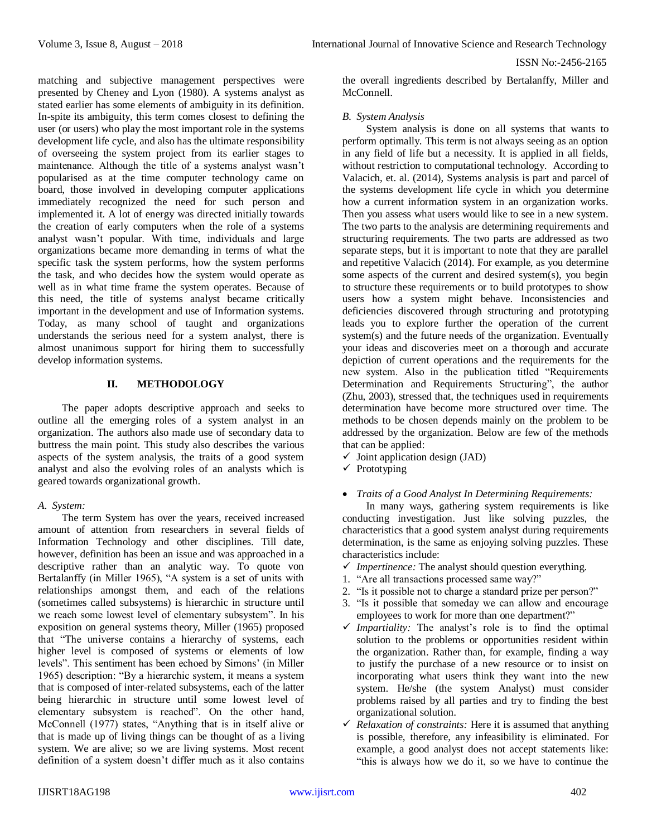matching and subjective management perspectives were presented by Cheney and Lyon (1980). A systems analyst as stated earlier has some elements of ambiguity in its definition. In-spite its ambiguity, this term comes closest to defining the user (or users) who play the most important role in the systems development life cycle, and also has the ultimate responsibility of overseeing the system project from its earlier stages to maintenance. Although the title of a systems analyst wasn't popularised as at the time computer technology came on board, those involved in developing computer applications immediately recognized the need for such person and implemented it. A lot of energy was directed initially towards the creation of early computers when the role of a systems analyst wasn't popular. With time, individuals and large organizations became more demanding in terms of what the specific task the system performs, how the system performs the task, and who decides how the system would operate as well as in what time frame the system operates. Because of this need, the title of systems analyst became critically important in the development and use of Information systems. Today, as many school of taught and organizations understands the serious need for a system analyst, there is almost unanimous support for hiring them to successfully develop information systems.

#### **II. METHODOLOGY**

The paper adopts descriptive approach and seeks to outline all the emerging roles of a system analyst in an organization. The authors also made use of secondary data to buttress the main point. This study also describes the various aspects of the system analysis, the traits of a good system analyst and also the evolving roles of an analysts which is geared towards organizational growth.

### *A. System:*

The term System has over the years, received increased amount of attention from researchers in several fields of Information Technology and other disciplines. Till date, however, definition has been an issue and was approached in a descriptive rather than an analytic way. To quote von Bertalanffy (in Miller 1965), "A system is a set of units with relationships amongst them, and each of the relations (sometimes called subsystems) is hierarchic in structure until we reach some lowest level of elementary subsystem". In his exposition on general systems theory, Miller (1965) proposed that "The universe contains a hierarchy of systems, each higher level is composed of systems or elements of low levels". This sentiment has been echoed by Simons' (in Miller 1965) description: "By a hierarchic system, it means a system that is composed of inter-related subsystems, each of the latter being hierarchic in structure until some lowest level of elementary subsystem is reached". On the other hand, McConnell (1977) states, "Anything that is in itself alive or that is made up of living things can be thought of as a living system. We are alive; so we are living systems. Most recent definition of a system doesn't differ much as it also contains

the overall ingredients described by Bertalanffy, Miller and McConnell.

#### *B. System Analysis*

System analysis is done on all systems that wants to perform optimally. This term is not always seeing as an option in any field of life but a necessity. It is applied in all fields, without restriction to computational technology. According to Valacich, et. al. (2014), Systems analysis is part and parcel of the systems development life cycle in which you determine how a current information system in an organization works. Then you assess what users would like to see in a new system. The two parts to the analysis are determining requirements and structuring requirements. The two parts are addressed as two separate steps, but it is important to note that they are parallel and repetitive Valacich (2014). For example, as you determine some aspects of the current and desired system(s), you begin to structure these requirements or to build prototypes to show users how a system might behave. Inconsistencies and deficiencies discovered through structuring and prototyping leads you to explore further the operation of the current system(s) and the future needs of the organization. Eventually your ideas and discoveries meet on a thorough and accurate depiction of current operations and the requirements for the new system. Also in the publication titled "Requirements Determination and Requirements Structuring", the author (Zhu, 2003), stressed that, the techniques used in requirements determination have become more structured over time. The methods to be chosen depends mainly on the problem to be addressed by the organization. Below are few of the methods that can be applied:

- $\checkmark$  Joint application design (JAD)
- $\checkmark$  Prototyping

#### *Traits of a Good Analyst In Determining Requirements:*

In many ways, gathering system requirements is like conducting investigation. Just like solving puzzles, the characteristics that a good system analyst during requirements determination, is the same as enjoying solving puzzles. These characteristics include:

- *Impertinence:* The analyst should question everything.
- 1. "Are all transactions processed same way?"
- 2. "Is it possible not to charge a standard prize per person?"
- 3. "Is it possible that someday we can allow and encourage employees to work for more than one department?"
- $\checkmark$  Impartiality: The analyst's role is to find the optimal solution to the problems or opportunities resident within the organization. Rather than, for example, finding a way to justify the purchase of a new resource or to insist on incorporating what users think they want into the new system. He/she (the system Analyst) must consider problems raised by all parties and try to finding the best organizational solution.
- $\checkmark$  *Relaxation of constraints:* Here it is assumed that anything is possible, therefore, any infeasibility is eliminated. For example, a good analyst does not accept statements like: "this is always how we do it, so we have to continue the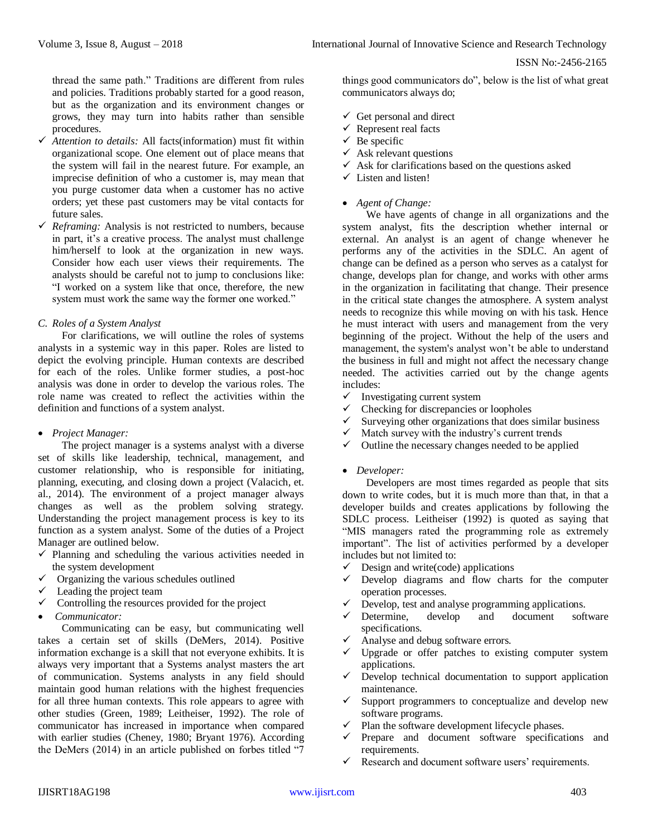thread the same path." Traditions are different from rules and policies. Traditions probably started for a good reason, but as the organization and its environment changes or grows, they may turn into habits rather than sensible procedures.

- *Attention to details:* All facts(information) must fit within organizational scope. One element out of place means that the system will fail in the nearest future. For example, an imprecise definition of who a customer is, may mean that you purge customer data when a customer has no active orders; yet these past customers may be vital contacts for future sales.
- $\checkmark$  *Reframing:* Analysis is not restricted to numbers, because in part, it's a creative process. The analyst must challenge him/herself to look at the organization in new ways. Consider how each user views their requirements. The analysts should be careful not to jump to conclusions like: "I worked on a system like that once, therefore, the new system must work the same way the former one worked."

### *C. Roles of a System Analyst*

For clarifications, we will outline the roles of systems analysts in a systemic way in this paper. Roles are listed to depict the evolving principle. Human contexts are described for each of the roles. Unlike former studies, a post-hoc analysis was done in order to develop the various roles. The role name was created to reflect the activities within the definition and functions of a system analyst.

### *Project Manager:*

The project manager is a systems analyst with a diverse set of skills like leadership, technical, management, and customer relationship, who is responsible for initiating, planning, executing, and closing down a project (Valacich, et. al., 2014). The environment of a project manager always changes as well as the problem solving strategy. Understanding the project management process is key to its function as a system analyst. Some of the duties of a Project Manager are outlined below.

- $\checkmark$  Planning and scheduling the various activities needed in the system development
- $\checkmark$  Organizing the various schedules outlined
- $\checkmark$  Leading the project team
- $\checkmark$  Controlling the resources provided for the project
- *Communicator:*

Communicating can be easy, but communicating well takes a certain set of skills (DeMers, 2014). Positive information exchange is a skill that not everyone exhibits. It is always very important that a Systems analyst masters the art of communication. Systems analysts in any field should maintain good human relations with the highest frequencies for all three human contexts. This role appears to agree with other studies (Green, 1989; Leitheiser, 1992). The role of communicator has increased in importance when compared with earlier studies (Cheney, 1980; Bryant 1976). According the DeMers (2014) in an article published on forbes titled "7

things good communicators do", below is the list of what great communicators always do;

- $\checkmark$  Get personal and direct
- $\checkmark$  Represent real facts
- $\checkmark$  Be specific
- $\checkmark$  Ask relevant questions
- $\checkmark$  Ask for clarifications based on the questions asked
- $\checkmark$  Listen and listen!

# *Agent of Change:*

We have agents of change in all organizations and the system analyst, fits the description whether internal or external. An analyst is an agent of change whenever he performs any of the activities in the SDLC. An agent of change can be defined as a person who serves as a catalyst for change, develops plan for change, and works with other arms in the organization in facilitating that change. Their presence in the critical state changes the atmosphere. A system analyst needs to recognize this while moving on with his task. Hence he must interact with users and management from the very beginning of the project. Without the help of the users and management, the system's analyst won't be able to understand the business in full and might not affect the necessary change needed. The activities carried out by the change agents includes:

- $\checkmark$  Investigating current system
- Checking for discrepancies or loopholes
- $\checkmark$  Surveying other organizations that does similar business
- $\checkmark$  Match survey with the industry's current trends  $\checkmark$  Outline the necessary changes needed to be anni
- Outline the necessary changes needed to be applied

### *Developer:*

Developers are most times regarded as people that sits down to write codes, but it is much more than that, in that a developer builds and creates applications by following the SDLC process. Leitheiser (1992) is quoted as saying that "MIS managers rated the programming role as extremely important". The list of activities performed by a developer includes but not limited to:

- $\checkmark$  Design and write(code) applications
- $\checkmark$  Develop diagrams and flow charts for the computer operation processes.
- Develop, test and analyse programming applications.
- Determine, develop and document software specifications.
- Analyse and debug software errors.
- Upgrade or offer patches to existing computer system applications.
- $\checkmark$  Develop technical documentation to support application maintenance.
- $\checkmark$  Support programmers to conceptualize and develop new software programs.
- Plan the software development lifecycle phases.
- $\checkmark$  Prepare and document software specifications and requirements.
- Research and document software users' requirements.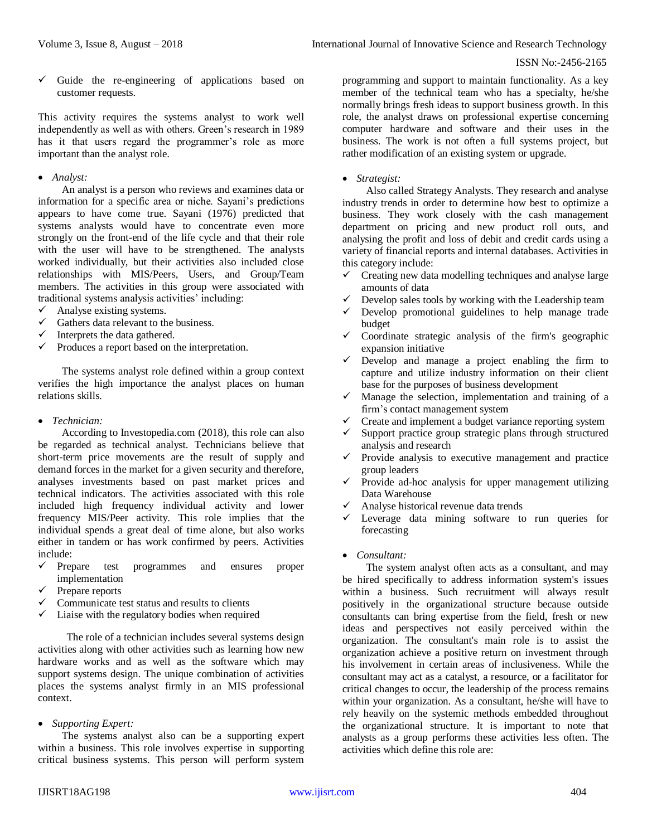$\checkmark$  Guide the re-engineering of applications based on customer requests.

This activity requires the systems analyst to work well independently as well as with others. Green's research in 1989 has it that users regard the programmer's role as more important than the analyst role.

# *Analyst:*

An analyst is a person who reviews and examines data or information for a specific area or niche. Sayani's predictions appears to have come true. Sayani (1976) predicted that systems analysts would have to concentrate even more strongly on the front-end of the life cycle and that their role with the user will have to be strengthened. The analysts worked individually, but their activities also included close relationships with MIS/Peers, Users, and Group/Team members. The activities in this group were associated with traditional systems analysis activities' including:

- $\checkmark$  Analyse existing systems.
- $\checkmark$  Gathers data relevant to the business.
- Interprets the data gathered.
- $\checkmark$  Produces a report based on the interpretation.

The systems analyst role defined within a group context verifies the high importance the analyst places on human relations skills.

*Technician:* 

According to Investopedia.com (2018), this role can also be regarded as technical analyst. Technicians believe that short-term price movements are the result of supply and demand forces in the market for a given security and therefore, analyses investments based on past market prices and technical indicators. The activities associated with this role included high frequency individual activity and lower frequency MIS/Peer activity. This role implies that the individual spends a great deal of time alone, but also works either in tandem or has work confirmed by peers. Activities include:

- Prepare test programmes and ensures proper implementation
- Prepare reports
- $\checkmark$  Communicate test status and results to clients
- $\checkmark$  Liaise with the regulatory bodies when required

The role of a technician includes several systems design activities along with other activities such as learning how new hardware works and as well as the software which may support systems design. The unique combination of activities places the systems analyst firmly in an MIS professional context.

*Supporting Expert:* 

The systems analyst also can be a supporting expert within a business. This role involves expertise in supporting critical business systems. This person will perform system

programming and support to maintain functionality. As a key member of the technical team who has a specialty, he/she normally brings fresh ideas to support business growth. In this role, the analyst draws on professional expertise concerning computer hardware and software and their uses in the business. The work is not often a full systems project, but rather modification of an existing system or upgrade.

#### *Strategist:*

Also called Strategy Analysts. They research and analyse industry trends in order to determine how best to optimize a business. They work closely with the cash management department on pricing and new product roll outs, and analysing the profit and loss of debit and credit cards using a variety of financial reports and internal databases. Activities in this category include:

- $\checkmark$  Creating new data modelling techniques and analyse large amounts of data
- Develop sales tools by working with the Leadership team
- $\checkmark$  Develop promotional guidelines to help manage trade budget
- $\checkmark$  Coordinate strategic analysis of the firm's geographic expansion initiative
- $\checkmark$  Develop and manage a project enabling the firm to capture and utilize industry information on their client base for the purposes of business development
- $\checkmark$  Manage the selection, implementation and training of a firm's contact management system
- Create and implement a budget variance reporting system
- Support practice group strategic plans through structured analysis and research
- $\checkmark$  Provide analysis to executive management and practice group leaders
- $\checkmark$  Provide ad-hoc analysis for upper management utilizing Data Warehouse
- $\checkmark$  Analyse historical revenue data trends
- Leverage data mining software to run queries for forecasting
- *Consultant:*

The system analyst often acts as a consultant, and may be hired specifically to address information system's issues within a business. Such recruitment will always result positively in the organizational structure because outside consultants can bring expertise from the field, fresh or new ideas and perspectives not easily perceived within the organization. The consultant's main role is to assist the organization achieve a positive return on investment through his involvement in certain areas of inclusiveness. While the consultant may act as a catalyst, a resource, or a facilitator for critical changes to occur, the leadership of the process remains within your organization. As a consultant, he/she will have to rely heavily on the systemic methods embedded throughout the organizational structure. It is important to note that analysts as a group performs these activities less often. The activities which define this role are: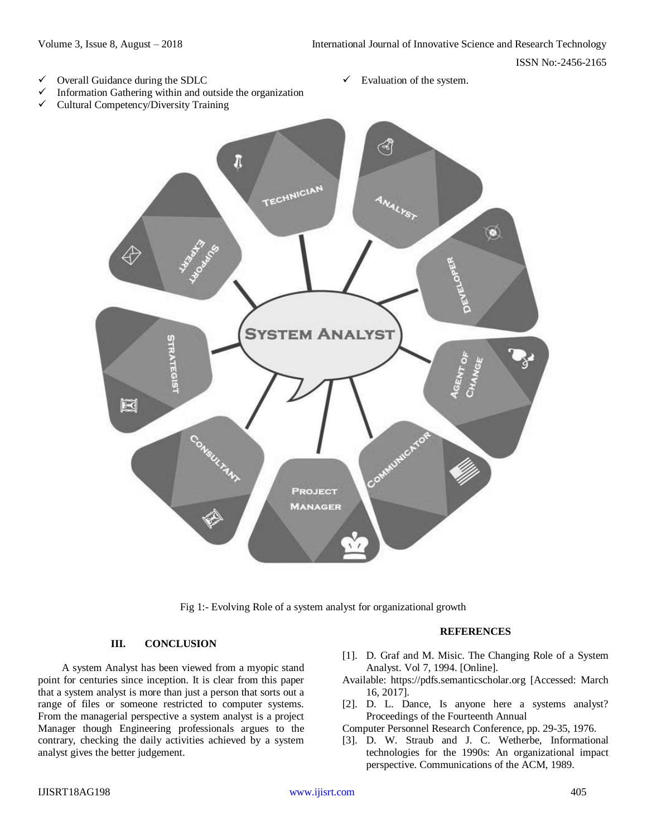#### ISSN No:-2456-2165

- $\checkmark$  Overall Guidance during the SDLC
- Information Gathering within and outside the organization
- $\checkmark$  Cultural Competency/Diversity Training

 $\checkmark$  Evaluation of the system.



Fig 1:- Evolving Role of a system analyst for organizational growth

# **III. CONCLUSION**

A system Analyst has been viewed from a myopic stand point for centuries since inception. It is clear from this paper that a system analyst is more than just a person that sorts out a range of files or someone restricted to computer systems. From the managerial perspective a system analyst is a project Manager though Engineering professionals argues to the contrary, checking the daily activities achieved by a system analyst gives the better judgement.

#### **REFERENCES**

- [1]. D. Graf and M. Misic. The Changing Role of a System Analyst. Vol 7, 1994. [Online].
- Available: https://pdfs.semanticscholar.org [Accessed: March 16, 2017].
- [2]. D. L. Dance, Is anyone here a systems analyst? Proceedings of the Fourteenth Annual
- Computer Personnel Research Conference, pp. 29-35, 1976.
- [3]. D. W. Straub and J. C. Wetherbe, Informational technologies for the 1990s: An organizational impact perspective. Communications of the ACM, 1989.